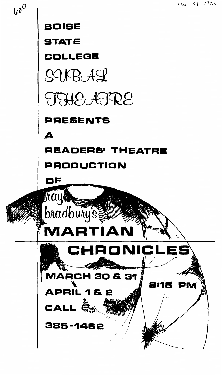